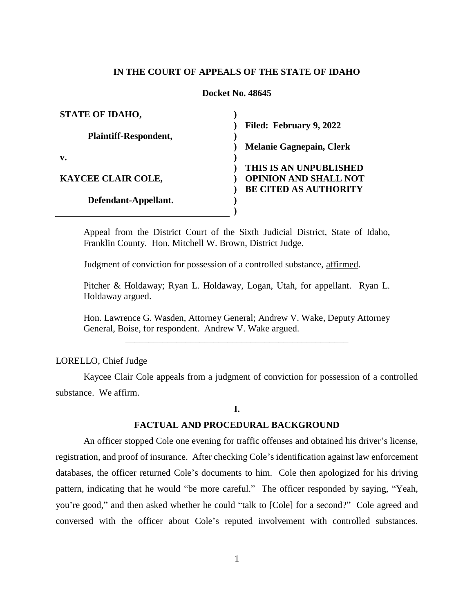## **IN THE COURT OF APPEALS OF THE STATE OF IDAHO**

### **Docket No. 48645**

| <b>STATE OF IDAHO,</b>       |                                 |
|------------------------------|---------------------------------|
|                              | Filed: February 9, 2022         |
| <b>Plaintiff-Respondent,</b> |                                 |
|                              | <b>Melanie Gagnepain, Clerk</b> |
| $\mathbf{v}$ .               |                                 |
|                              | THIS IS AN UNPUBLISHED          |
| KAYCEE CLAIR COLE,           | <b>OPINION AND SHALL NOT</b>    |
|                              | <b>BE CITED AS AUTHORITY</b>    |
| Defendant-Appellant.         |                                 |
|                              |                                 |

Appeal from the District Court of the Sixth Judicial District, State of Idaho, Franklin County. Hon. Mitchell W. Brown, District Judge.

Judgment of conviction for possession of a controlled substance, affirmed.

Pitcher & Holdaway; Ryan L. Holdaway, Logan, Utah, for appellant. Ryan L. Holdaway argued.

Hon. Lawrence G. Wasden, Attorney General; Andrew V. Wake, Deputy Attorney General, Boise, for respondent. Andrew V. Wake argued.

\_\_\_\_\_\_\_\_\_\_\_\_\_\_\_\_\_\_\_\_\_\_\_\_\_\_\_\_\_\_\_\_\_\_\_\_\_\_\_\_\_\_\_\_\_\_\_\_

LORELLO, Chief Judge

Kaycee Clair Cole appeals from a judgment of conviction for possession of a controlled substance. We affirm.

## **I.**

### **FACTUAL AND PROCEDURAL BACKGROUND**

An officer stopped Cole one evening for traffic offenses and obtained his driver's license, registration, and proof of insurance. After checking Cole's identification against law enforcement databases, the officer returned Cole's documents to him. Cole then apologized for his driving pattern, indicating that he would "be more careful." The officer responded by saying, "Yeah, you're good," and then asked whether he could "talk to [Cole] for a second?" Cole agreed and conversed with the officer about Cole's reputed involvement with controlled substances.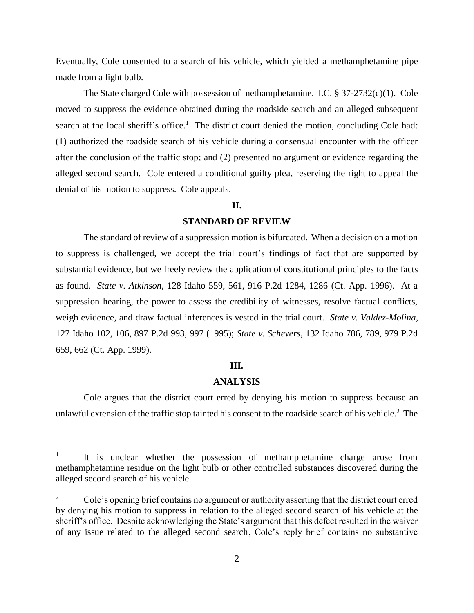Eventually, Cole consented to a search of his vehicle, which yielded a methamphetamine pipe made from a light bulb.

The State charged Cole with possession of methamphetamine. I.C. § 37-2732(c)(1). Cole moved to suppress the evidence obtained during the roadside search and an alleged subsequent search at the local sheriff's office.<sup>1</sup> The district court denied the motion, concluding Cole had: (1) authorized the roadside search of his vehicle during a consensual encounter with the officer after the conclusion of the traffic stop; and (2) presented no argument or evidence regarding the alleged second search. Cole entered a conditional guilty plea, reserving the right to appeal the denial of his motion to suppress. Cole appeals.

### **II.**

## **STANDARD OF REVIEW**

The standard of review of a suppression motion is bifurcated. When a decision on a motion to suppress is challenged, we accept the trial court's findings of fact that are supported by substantial evidence, but we freely review the application of constitutional principles to the facts as found. *State v. Atkinson*, 128 Idaho 559, 561, 916 P.2d 1284, 1286 (Ct. App. 1996). At a suppression hearing, the power to assess the credibility of witnesses, resolve factual conflicts, weigh evidence, and draw factual inferences is vested in the trial court. *State v. Valdez-Molina*, 127 Idaho 102, 106, 897 P.2d 993, 997 (1995); *State v. Schevers*, 132 Idaho 786, 789, 979 P.2d 659, 662 (Ct. App. 1999).

#### **III.**

#### **ANALYSIS**

Cole argues that the district court erred by denying his motion to suppress because an unlawful extension of the traffic stop tainted his consent to the roadside search of his vehicle.<sup>2</sup> The

 $\overline{a}$ 

<sup>1</sup> It is unclear whether the possession of methamphetamine charge arose from methamphetamine residue on the light bulb or other controlled substances discovered during the alleged second search of his vehicle.

<sup>&</sup>lt;sup>2</sup> Cole's opening brief contains no argument or authority asserting that the district court erred by denying his motion to suppress in relation to the alleged second search of his vehicle at the sheriff's office. Despite acknowledging the State's argument that this defect resulted in the waiver of any issue related to the alleged second search, Cole's reply brief contains no substantive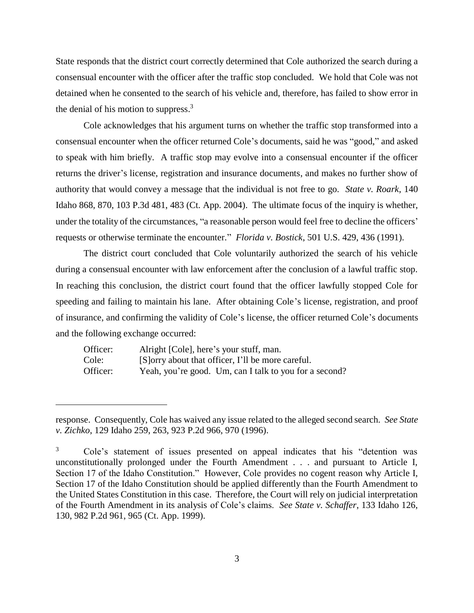State responds that the district court correctly determined that Cole authorized the search during a consensual encounter with the officer after the traffic stop concluded. We hold that Cole was not detained when he consented to the search of his vehicle and, therefore, has failed to show error in the denial of his motion to suppress. $3$ 

Cole acknowledges that his argument turns on whether the traffic stop transformed into a consensual encounter when the officer returned Cole's documents, said he was "good," and asked to speak with him briefly. A traffic stop may evolve into a consensual encounter if the officer returns the driver's license, registration and insurance documents, and makes no further show of authority that would convey a message that the individual is not free to go. *State v. Roark*, 140 Idaho 868, 870, 103 P.3d 481, 483 (Ct. App. 2004). The ultimate focus of the inquiry is whether, under the totality of the circumstances, "a reasonable person would feel free to decline the officers' requests or otherwise terminate the encounter." *Florida v. Bostick*, 501 U.S. 429, 436 (1991).

The district court concluded that Cole voluntarily authorized the search of his vehicle during a consensual encounter with law enforcement after the conclusion of a lawful traffic stop. In reaching this conclusion, the district court found that the officer lawfully stopped Cole for speeding and failing to maintain his lane. After obtaining Cole's license, registration, and proof of insurance, and confirming the validity of Cole's license, the officer returned Cole's documents and the following exchange occurred:

| Officer: | Alright [Cole], here's your stuff, man.                |
|----------|--------------------------------------------------------|
| Cole:    | [S] orry about that officer, I'll be more careful.     |
| Officer: | Yeah, you're good. Um, can I talk to you for a second? |

 $\overline{a}$ 

response. Consequently, Cole has waived any issue related to the alleged second search. *See State v. Zichko*, 129 Idaho 259, 263, 923 P.2d 966, 970 (1996).

<sup>3</sup> Cole's statement of issues presented on appeal indicates that his "detention was unconstitutionally prolonged under the Fourth Amendment . . . and pursuant to Article I, Section 17 of the Idaho Constitution." However, Cole provides no cogent reason why Article I, Section 17 of the Idaho Constitution should be applied differently than the Fourth Amendment to the United States Constitution in this case. Therefore, the Court will rely on judicial interpretation of the Fourth Amendment in its analysis of Cole's claims. *See State v. Schaffer*, 133 Idaho 126, 130, 982 P.2d 961, 965 (Ct. App. 1999).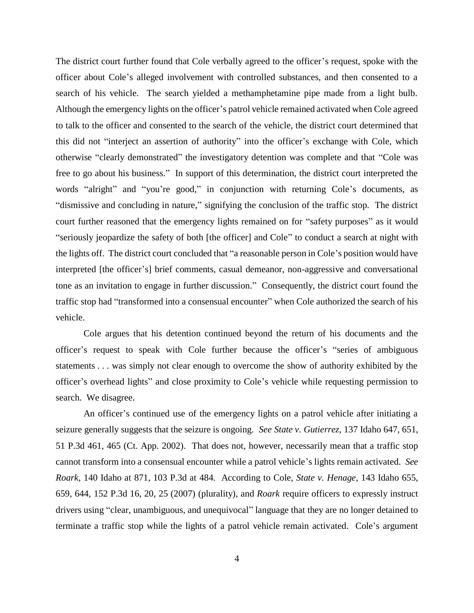The district court further found that Cole verbally agreed to the officer's request, spoke with the officer about Cole's alleged involvement with controlled substances, and then consented to a search of his vehicle. The search yielded a methamphetamine pipe made from a light bulb. Although the emergency lights on the officer's patrol vehicle remained activated when Cole agreed to talk to the officer and consented to the search of the vehicle, the district court determined that this did not "interject an assertion of authority" into the officer's exchange with Cole, which otherwise "clearly demonstrated" the investigatory detention was complete and that "Cole was free to go about his business." In support of this determination, the district court interpreted the words "alright" and "you're good," in conjunction with returning Cole's documents, as "dismissive and concluding in nature," signifying the conclusion of the traffic stop. The district court further reasoned that the emergency lights remained on for "safety purposes" as it would "seriously jeopardize the safety of both [the officer] and Cole" to conduct a search at night with the lights off. The district court concluded that "a reasonable person in Cole's position would have interpreted [the officer's] brief comments, casual demeanor, non-aggressive and conversational tone as an invitation to engage in further discussion." Consequently, the district court found the traffic stop had "transformed into a consensual encounter" when Cole authorized the search of his vehicle.

Cole argues that his detention continued beyond the return of his documents and the officer's request to speak with Cole further because the officer's "series of ambiguous statements . . . was simply not clear enough to overcome the show of authority exhibited by the officer's overhead lights" and close proximity to Cole's vehicle while requesting permission to search. We disagree.

An officer's continued use of the emergency lights on a patrol vehicle after initiating a seizure generally suggests that the seizure is ongoing. *See State v. Gutierrez*, 137 Idaho 647, 651, 51 P.3d 461, 465 (Ct. App. 2002). That does not, however, necessarily mean that a traffic stop cannot transform into a consensual encounter while a patrol vehicle's lights remain activated. *See Roark*, 140 Idaho at 871, 103 P.3d at 484. According to Cole, *State v. Henage*, 143 Idaho 655, 659, 644, 152 P.3d 16, 20, 25 (2007) (plurality), and *Roark* require officers to expressly instruct drivers using "clear, unambiguous, and unequivocal" language that they are no longer detained to terminate a traffic stop while the lights of a patrol vehicle remain activated. Cole's argument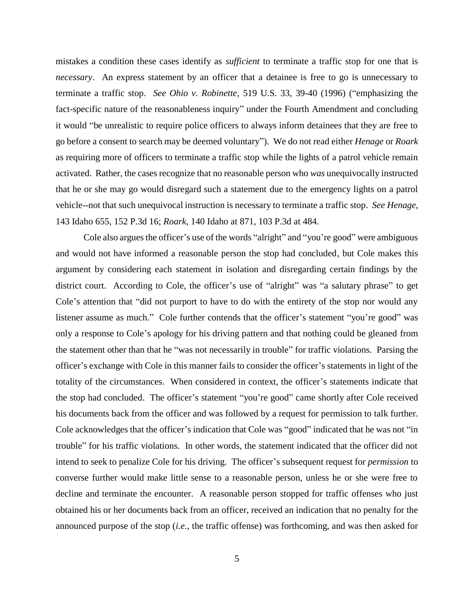mistakes a condition these cases identify as *sufficient* to terminate a traffic stop for one that is *necessary*. An express statement by an officer that a detainee is free to go is unnecessary to terminate a traffic stop. *See Ohio v. Robinette*, 519 U.S. 33, 39-40 (1996) ("emphasizing the fact-specific nature of the reasonableness inquiry" under the Fourth Amendment and concluding it would "be unrealistic to require police officers to always inform detainees that they are free to go before a consent to search may be deemed voluntary"). We do not read either *Henage* or *Roark* as requiring more of officers to terminate a traffic stop while the lights of a patrol vehicle remain activated. Rather, the cases recognize that no reasonable person who *was* unequivocally instructed that he or she may go would disregard such a statement due to the emergency lights on a patrol vehicle--not that such unequivocal instruction is necessary to terminate a traffic stop. *See Henage*, 143 Idaho 655, 152 P.3d 16; *Roark*, 140 Idaho at 871, 103 P.3d at 484.

Cole also argues the officer's use of the words "alright" and "you're good" were ambiguous and would not have informed a reasonable person the stop had concluded, but Cole makes this argument by considering each statement in isolation and disregarding certain findings by the district court. According to Cole, the officer's use of "alright" was "a salutary phrase" to get Cole's attention that "did not purport to have to do with the entirety of the stop nor would any listener assume as much." Cole further contends that the officer's statement "you're good" was only a response to Cole's apology for his driving pattern and that nothing could be gleaned from the statement other than that he "was not necessarily in trouble" for traffic violations. Parsing the officer's exchange with Cole in this manner fails to consider the officer's statements in light of the totality of the circumstances. When considered in context, the officer's statements indicate that the stop had concluded. The officer's statement "you're good" came shortly after Cole received his documents back from the officer and was followed by a request for permission to talk further. Cole acknowledges that the officer's indication that Cole was "good" indicated that he was not "in trouble" for his traffic violations. In other words, the statement indicated that the officer did not intend to seek to penalize Cole for his driving. The officer's subsequent request for *permission* to converse further would make little sense to a reasonable person, unless he or she were free to decline and terminate the encounter. A reasonable person stopped for traffic offenses who just obtained his or her documents back from an officer, received an indication that no penalty for the announced purpose of the stop (*i.e.*, the traffic offense) was forthcoming, and was then asked for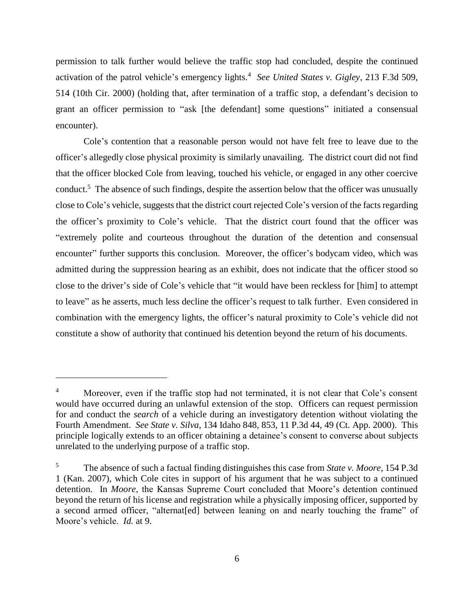permission to talk further would believe the traffic stop had concluded, despite the continued activation of the patrol vehicle's emergency lights.<sup>4</sup> See United States v. Gigley, 213 F.3d 509, 514 (10th Cir. 2000) (holding that, after termination of a traffic stop, a defendant's decision to grant an officer permission to "ask [the defendant] some questions" initiated a consensual encounter).

Cole's contention that a reasonable person would not have felt free to leave due to the officer's allegedly close physical proximity is similarly unavailing. The district court did not find that the officer blocked Cole from leaving, touched his vehicle, or engaged in any other coercive conduct.<sup>5</sup> The absence of such findings, despite the assertion below that the officer was unusually close to Cole's vehicle, suggests that the district court rejected Cole's version of the facts regarding the officer's proximity to Cole's vehicle. That the district court found that the officer was "extremely polite and courteous throughout the duration of the detention and consensual encounter" further supports this conclusion. Moreover, the officer's bodycam video, which was admitted during the suppression hearing as an exhibit, does not indicate that the officer stood so close to the driver's side of Cole's vehicle that "it would have been reckless for [him] to attempt to leave" as he asserts, much less decline the officer's request to talk further. Even considered in combination with the emergency lights, the officer's natural proximity to Cole's vehicle did not constitute a show of authority that continued his detention beyond the return of his documents.

 $\overline{a}$ 

<sup>&</sup>lt;sup>4</sup> Moreover, even if the traffic stop had not terminated, it is not clear that Cole's consent would have occurred during an unlawful extension of the stop. Officers can request permission for and conduct the *search* of a vehicle during an investigatory detention without violating the Fourth Amendment. *See State v. Silva*, 134 Idaho 848, 853, 11 P.3d 44, 49 (Ct. App. 2000). This principle logically extends to an officer obtaining a detainee's consent to converse about subjects unrelated to the underlying purpose of a traffic stop.

<sup>5</sup> The absence of such a factual finding distinguishes this case from *State v. Moore*, 154 P.3d 1 (Kan. 2007), which Cole cites in support of his argument that he was subject to a continued detention. In *Moore*, the Kansas Supreme Court concluded that Moore's detention continued beyond the return of his license and registration while a physically imposing officer, supported by a second armed officer, "alternat[ed] between leaning on and nearly touching the frame" of Moore's vehicle. *Id.* at 9.